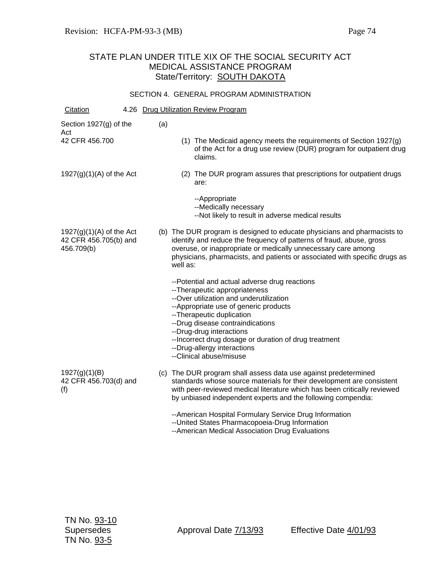#### SECTION 4. GENERAL PROGRAM ADMINISTRATION

| Citation                                                          |     |          | 4.26 Drug Utilization Review Program                                                                                                                                                                                                                                                                                                                                                 |
|-------------------------------------------------------------------|-----|----------|--------------------------------------------------------------------------------------------------------------------------------------------------------------------------------------------------------------------------------------------------------------------------------------------------------------------------------------------------------------------------------------|
| Section 1927(g) of the<br>Act                                     | (a) |          |                                                                                                                                                                                                                                                                                                                                                                                      |
| 42 CFR 456.700                                                    |     |          | (1) The Medicaid agency meets the requirements of Section 1927(g)<br>of the Act for a drug use review (DUR) program for outpatient drug<br>claims.                                                                                                                                                                                                                                   |
| $1927(g)(1)(A)$ of the Act                                        |     |          | (2) The DUR program assures that prescriptions for outpatient drugs<br>are:                                                                                                                                                                                                                                                                                                          |
|                                                                   |     |          | --Appropriate<br>--Medically necessary<br>--Not likely to result in adverse medical results                                                                                                                                                                                                                                                                                          |
| $1927(g)(1)(A)$ of the Act<br>42 CFR 456.705(b) and<br>456.709(b) |     | well as: | (b) The DUR program is designed to educate physicians and pharmacists to<br>identify and reduce the frequency of patterns of fraud, abuse, gross<br>overuse, or inappropriate or medically unnecessary care among<br>physicians, pharmacists, and patients or associated with specific drugs as                                                                                      |
|                                                                   |     |          | --Potential and actual adverse drug reactions<br>--Therapeutic appropriateness<br>--Over utilization and underutilization<br>-- Appropriate use of generic products<br>--Therapeutic duplication<br>--Drug disease contraindications<br>--Drug-drug interactions<br>-- Incorrect drug dosage or duration of drug treatment<br>--Drug-allergy interactions<br>--Clinical abuse/misuse |
| 1927(g)(1)(B)<br>42 CFR 456.703(d) and<br>(f)                     |     |          | (c) The DUR program shall assess data use against predetermined<br>standards whose source materials for their development are consistent<br>with peer-reviewed medical literature which has been critically reviewed<br>by unbiased independent experts and the following compendia:                                                                                                 |
|                                                                   |     |          | --American Hospital Formulary Service Drug Information<br>-- United States Pharmacopoeia-Drug Information<br>--American Medical Association Drug Evaluations                                                                                                                                                                                                                         |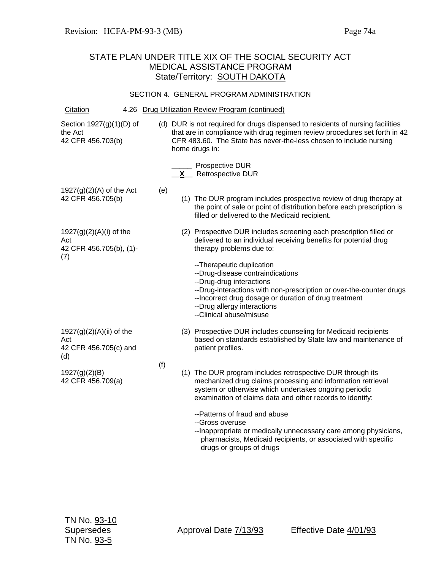#### SECTION 4. GENERAL PROGRAM ADMINISTRATION

| Citation                                                           |     | 4.26 Drug Utilization Review Program (continued)                                                                                                                                                                                                                                      |
|--------------------------------------------------------------------|-----|---------------------------------------------------------------------------------------------------------------------------------------------------------------------------------------------------------------------------------------------------------------------------------------|
| Section 1927(g)(1)(D) of<br>the Act<br>42 CFR 456.703(b)           |     | (d) DUR is not required for drugs dispensed to residents of nursing facilities<br>that are in compliance with drug regimen review procedures set forth in 42<br>CFR 483.60. The State has never-the-less chosen to include nursing<br>home drugs in:                                  |
|                                                                    |     | Prospective DUR<br><b>Retrospective DUR</b><br>X —                                                                                                                                                                                                                                    |
| $1927(g)(2)(A)$ of the Act<br>42 CFR 456.705(b)                    | (e) | (1) The DUR program includes prospective review of drug therapy at<br>the point of sale or point of distribution before each prescription is<br>filled or delivered to the Medicaid recipient.                                                                                        |
| $1927(g)(2)(A)(i)$ of the<br>Act<br>42 CFR 456.705(b), (1)-<br>(7) |     | (2) Prospective DUR includes screening each prescription filled or<br>delivered to an individual receiving benefits for potential drug<br>therapy problems due to:                                                                                                                    |
|                                                                    |     | -- Therapeutic duplication<br>--Drug-disease contraindications<br>--Drug-drug interactions<br>--Drug-interactions with non-prescription or over-the-counter drugs<br>-- Incorrect drug dosage or duration of drug treatment<br>--Drug allergy interactions<br>--Clinical abuse/misuse |
| 1927(g)(2)(A)(ii) of the<br>Act                                    |     | (3) Prospective DUR includes counseling for Medicaid recipients<br>based on standards established by State law and maintenance of                                                                                                                                                     |
| 42 CFR 456.705(c) and<br>(d)                                       |     | patient profiles.                                                                                                                                                                                                                                                                     |
| 1927(g)(2)(B)<br>42 CFR 456.709(a)                                 | (f) | (1) The DUR program includes retrospective DUR through its<br>mechanized drug claims processing and information retrieval<br>system or otherwise which undertakes ongoing periodic<br>examination of claims data and other records to identify:                                       |
|                                                                    |     | --Patterns of fraud and abuse<br>--Gross overuse                                                                                                                                                                                                                                      |

--Inappropriate or medically unnecessary care among physicians, pharmacists, Medicaid recipients, or associated with specific drugs or groups of drugs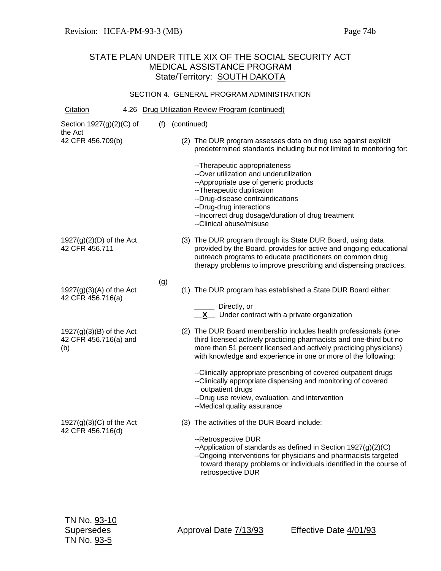#### SECTION 4. GENERAL PROGRAM ADMINISTRATION

| Citation                                                   |  |     |                 | 4.26 Drug Utilization Review Program (continued)                                                                                                                                                                                                                                                    |
|------------------------------------------------------------|--|-----|-----------------|-----------------------------------------------------------------------------------------------------------------------------------------------------------------------------------------------------------------------------------------------------------------------------------------------------|
| Section $1927(g)(2)(C)$ of<br>the Act                      |  |     | (f) (continued) |                                                                                                                                                                                                                                                                                                     |
| 42 CFR 456.709(b)                                          |  |     |                 | (2) The DUR program assesses data on drug use against explicit<br>predetermined standards including but not limited to monitoring for:                                                                                                                                                              |
|                                                            |  |     |                 | -- Therapeutic appropriateness<br>--Over utilization and underutilization<br>-- Appropriate use of generic products<br>-- Therapeutic duplication<br>--Drug-disease contraindications<br>--Drug-drug interactions<br>-- Incorrect drug dosage/duration of drug treatment<br>--Clinical abuse/misuse |
| $1927(g)(2)(D)$ of the Act<br>42 CFR 456.711               |  |     |                 | (3) The DUR program through its State DUR Board, using data<br>provided by the Board, provides for active and ongoing educational<br>outreach programs to educate practitioners on common drug<br>therapy problems to improve prescribing and dispensing practices.                                 |
| $1927(g)(3)(A)$ of the Act<br>42 CFR 456.716(a)            |  | (g) |                 | (1) The DUR program has established a State DUR Board either:                                                                                                                                                                                                                                       |
|                                                            |  |     |                 | Directly, or<br>Under contract with a private organization                                                                                                                                                                                                                                          |
| $1927(g)(3)(B)$ of the Act<br>42 CFR 456.716(a) and<br>(b) |  |     |                 | (2) The DUR Board membership includes health professionals (one-<br>third licensed actively practicing pharmacists and one-third but no<br>more than 51 percent licensed and actively practicing physicians)<br>with knowledge and experience in one or more of the following:                      |
|                                                            |  |     |                 | --Clinically appropriate prescribing of covered outpatient drugs<br>--Clinically appropriate dispensing and monitoring of covered<br>outpatient drugs<br>--Drug use review, evaluation, and intervention<br>--Medical quality assurance                                                             |
| $1927(g)(3)(C)$ of the Act<br>42 CFR 456.716(d)            |  |     |                 | (3) The activities of the DUR Board include:                                                                                                                                                                                                                                                        |
|                                                            |  |     |                 | --Retrospective DUR<br>--Application of standards as defined in Section $1927(g)(2)(C)$<br>--Ongoing interventions for physicians and pharmacists targeted<br>toward therapy problems or individuals identified in the course of<br>retrospective DUR                                               |
|                                                            |  |     |                 |                                                                                                                                                                                                                                                                                                     |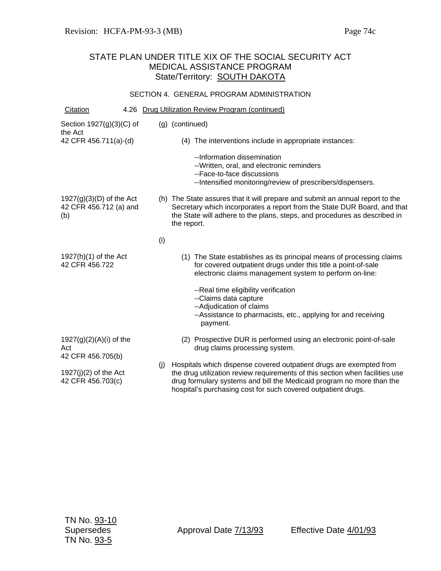#### SECTION 4. GENERAL PROGRAM ADMINISTRATION

| Citation                                                    |     | 4.26 Drug Utilization Review Program (continued)                                                                                                                                                                                                                                              |
|-------------------------------------------------------------|-----|-----------------------------------------------------------------------------------------------------------------------------------------------------------------------------------------------------------------------------------------------------------------------------------------------|
| Section $1927(g)(3)(C)$ of<br>the Act                       |     | (g) (continued)                                                                                                                                                                                                                                                                               |
| 42 CFR 456.711(a)-(d)                                       |     | (4) The interventions include in appropriate instances:                                                                                                                                                                                                                                       |
|                                                             |     | --Information dissemination<br>--Written, oral, and electronic reminders<br>--Face-to-face discussions<br>--Intensified monitoring/review of prescribers/dispensers.                                                                                                                          |
| $1927(g)(3)(D)$ of the Act<br>42 CFR 456.712 (a) and<br>(b) |     | (h) The State assures that it will prepare and submit an annual report to the<br>Secretary which incorporates a report from the State DUR Board, and that<br>the State will adhere to the plans, steps, and procedures as described in<br>the report.                                         |
|                                                             | (i) |                                                                                                                                                                                                                                                                                               |
| $1927(h)(1)$ of the Act<br>42 CFR 456.722                   |     | (1) The State establishes as its principal means of processing claims<br>for covered outpatient drugs under this title a point-of-sale<br>electronic claims management system to perform on-line:                                                                                             |
|                                                             |     | -- Real time eligibility verification<br>--Claims data capture<br>--Adjudication of claims<br>--Assistance to pharmacists, etc., applying for and receiving<br>payment.                                                                                                                       |
| 1927(g)(2)(A)(i) of the<br>Act<br>42 CFR 456.705(b)         |     | (2) Prospective DUR is performed using an electronic point-of-sale<br>drug claims processing system.                                                                                                                                                                                          |
| $1927(j)(2)$ of the Act<br>42 CFR 456.703(c)                | (i) | Hospitals which dispense covered outpatient drugs are exempted from<br>the drug utilization review requirements of this section when facilities use<br>drug formulary systems and bill the Medicaid program no more than the<br>hospital's purchasing cost for such covered outpatient drugs. |